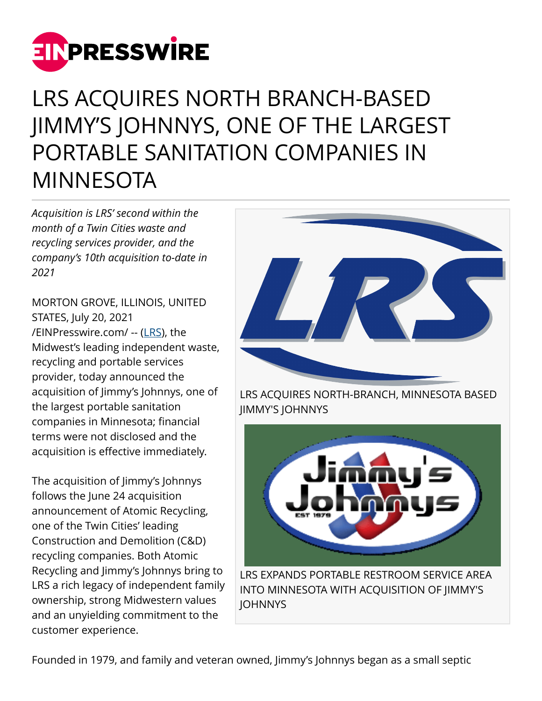

## LRS ACQUIRES NORTH BRANCH-BASED JIMMY'S JOHNNYS, ONE OF THE LARGEST PORTABLE SANITATION COMPANIES IN MINNESOTA

*Acquisition is LRS' second within the month of a Twin Cities waste and recycling services provider, and the company's 10th acquisition to-date in 2021* 

MORTON GROVE, ILLINOIS, UNITED STATES, July 20, 2021 [/EINPresswire.com/](http://www.einpresswire.com) -- [\(LRS\)](https://www.lrsrecycles.com/), the Midwest's leading independent waste, recycling and portable services provider, today announced the acquisition of Jimmy's Johnnys, one of the largest portable sanitation companies in Minnesota; financial terms were not disclosed and the acquisition is effective immediately.

The acquisition of Jimmy's Johnnys follows the June 24 acquisition announcement of Atomic Recycling, one of the Twin Cities' leading Construction and Demolition (C&D) recycling companies. Both Atomic Recycling and Jimmy's Johnnys bring to LRS a rich legacy of independent family ownership, strong Midwestern values and an unyielding commitment to the customer experience.



LRS ACQUIRES NORTH-BRANCH, MINNESOTA BASED JIMMY'S JOHNNYS



INTO MINNESOTA WITH ACQUISITION OF JIMMY'S **IOHNNYS**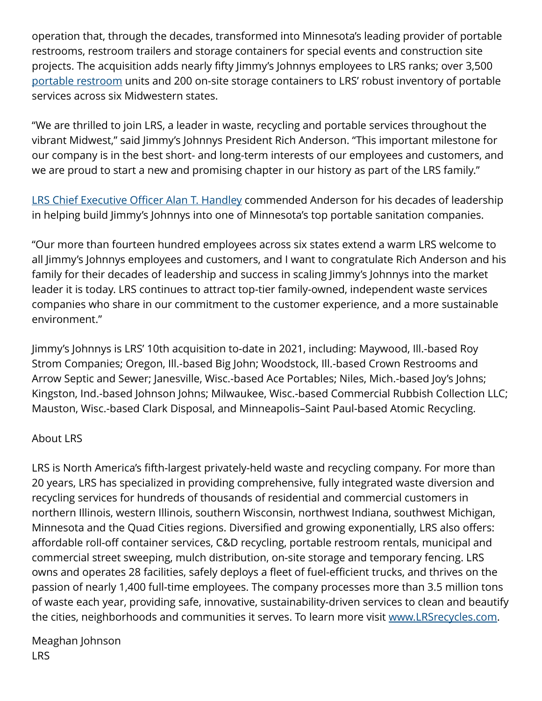operation that, through the decades, transformed into Minnesota's leading provider of portable restrooms, restroom trailers and storage containers for special events and construction site projects. The acquisition adds nearly fifty Jimmy's Johnnys employees to LRS ranks; over 3,500 [portable restroom](https://www.lrsrecycles.com/porta-potty/) units and 200 on-site storage containers to LRS' robust inventory of portable services across six Midwestern states.

"We are thrilled to join LRS, a leader in waste, recycling and portable services throughout the vibrant Midwest," said Jimmy's Johnnys President Rich Anderson. "This important milestone for our company is in the best short- and long-term interests of our employees and customers, and we are proud to start a new and promising chapter in our history as part of the LRS family."

[LRS Chief Executive Officer Alan T. Handley](https://www.lrsrecycles.com/about/management-team/) commended Anderson for his decades of leadership in helping build Jimmy's Johnnys into one of Minnesota's top portable sanitation companies.

"Our more than fourteen hundred employees across six states extend a warm LRS welcome to all Jimmy's Johnnys employees and customers, and I want to congratulate Rich Anderson and his family for their decades of leadership and success in scaling Jimmy's Johnnys into the market leader it is today. LRS continues to attract top-tier family-owned, independent waste services companies who share in our commitment to the customer experience, and a more sustainable environment."

Jimmy's Johnnys is LRS' 10th acquisition to-date in 2021, including: Maywood, Ill.-based Roy Strom Companies; Oregon, Ill.-based Big John; Woodstock, Ill.-based Crown Restrooms and Arrow Septic and Sewer; Janesville, Wisc.-based Ace Portables; Niles, Mich.-based Joy's Johns; Kingston, Ind.-based Johnson Johns; Milwaukee, Wisc.-based Commercial Rubbish Collection LLC; Mauston, Wisc.-based Clark Disposal, and Minneapolis–Saint Paul-based Atomic Recycling.

## About LRS

LRS is North America's fifth-largest privately-held waste and recycling company. For more than 20 years, LRS has specialized in providing comprehensive, fully integrated waste diversion and recycling services for hundreds of thousands of residential and commercial customers in northern Illinois, western Illinois, southern Wisconsin, northwest Indiana, southwest Michigan, Minnesota and the Quad Cities regions. Diversified and growing exponentially, LRS also offers: affordable roll-off container services, C&D recycling, portable restroom rentals, municipal and commercial street sweeping, mulch distribution, on-site storage and temporary fencing. LRS owns and operates 28 facilities, safely deploys a fleet of fuel-efficient trucks, and thrives on the passion of nearly 1,400 full-time employees. The company processes more than 3.5 million tons of waste each year, providing safe, innovative, sustainability-driven services to clean and beautify the cities, neighborhoods and communities it serves. To learn more visit [www.LRSrecycles.com.](http://www.LRSrecycles.com)

Meaghan Johnson LRS